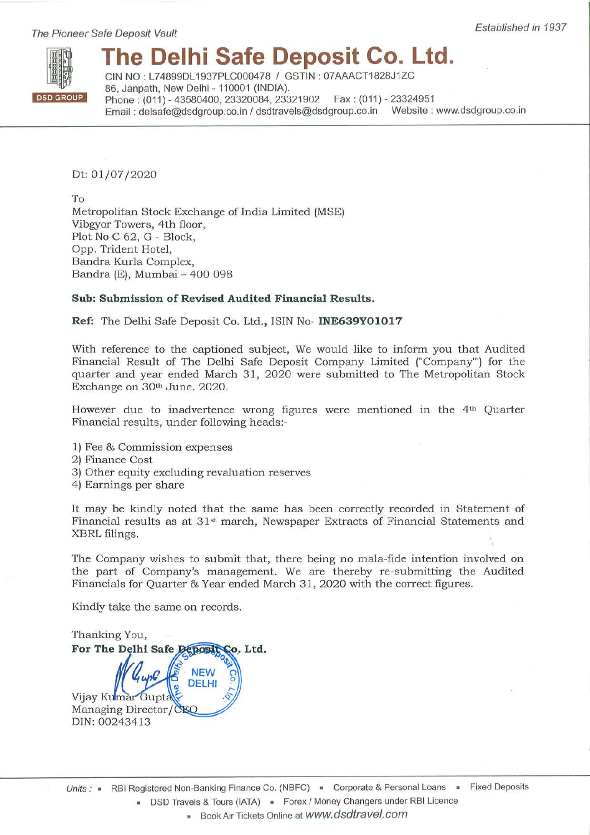The Pioneer Safe Deposit Vault



# The Delhi Safe Deposit Co. Ltd.

CIN NO: L74899DL1937PLC000478 / GSTIN: 07AAACT1828J1ZC 86, Janpath, New Delhi - 110001 (INDIA). Phone: (011) - 43580400, 23320084, 23321902 Fax: (011) - 23324951 Email: delsafe@dsdgroup.co.in / dsdtravels@dsdgroup.co.in Website: www.dsdgroup.co.in

Dt: 01/07/2020

 $To$ Metropolitan Stock Exchange of India Limited (MSE) Vibgyor Towers, 4th floor, Plot No C 62, G - Block, Opp. Trident Hotel, Bandra Kurla Complex, Bandra (E), Mumbai - 400 098

### Sub: Submission of Revised Audited Financial Results.

Ref: The Delhi Safe Deposit Co. Ltd., ISIN No- INE639Y01017

With reference to the captioned subject, We would like to inform you that Audited Financial Result of The Delhi Safe Deposit Company Limited ("Company") for the quarter and year ended March 31, 2020 were submitted to The Metropolitan Stock Exchange on 30th June. 2020.

However due to inadvertence wrong figures were mentioned in the 4<sup>th</sup> Quarter Financial results, under following heads:-

- 1) Fee & Commission expenses
- 2) Finance Cost
- 3) Other equity excluding revaluation reserves
- 4) Earnings per share

It may be kindly noted that the same has been correctly recorded in Statement of Financial results as at 31<sup>st</sup> march, Newspaper Extracts of Financial Statements and XBRL filings.

The Company wishes to submit that, there being no mala-fide intention involved on the part of Company's management. We are thereby re-submitting the Audited Financials for Quarter & Year ended March 31, 2020 with the correct figures.

Kindly take the same on records.

Thanking You, For The Delhi Safe Deposit Co. Ltd. **NEW DELHI** Vijay Kumar Gupta Managing Director/CSQ DIN: 00243413

Book Air Tickets Online at WWW.dsdtravel.com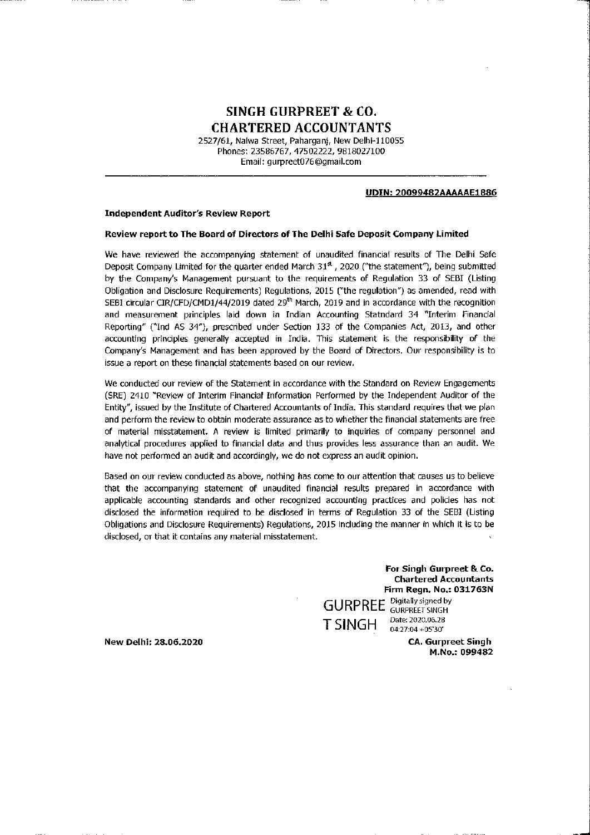# **SINGH GURPREET & CO. CHARTERED ACCOUNTANTS**

2527/61, Nalwa Street, Paharganj, New Delhi-110055 Phones: 23586767, 47502222, 9818027100 Email: gurpreet076@gmail.com

### UDIN: 20099482AAAAAE1886

### **Independent Auditor's Review Report**

### Review report to The Board of Directors of The Delhi Safe Deposit Company Limited

We have reviewed the accompanying statement of unaudited financial results of The Delhi Safe Deposit Company Limited for the quarter ended March 31<sup>st</sup>, 2020 ("the statement"), being submitted by the Company's Management pursuant to the requirements of Regulation 33 of SEBI (Listing Obligation and Disclosure Requirements) Regulations, 2015 ("the regulation") as amended, read with SEBI circular CIR/CFD/CMD1/44/2019 dated 29<sup>th</sup> March, 2019 and in accordance with the recognition and measurement principles laid down in Indian Accounting Statndard 34 "Interim Financial Reporting" ("Ind AS 34"), prescribed under Section 133 of the Companies Act, 2013, and other accounting principles generally accepted in India. This statement is the responsibility of the Company's Management and has been approved by the Board of Directors. Our responsibility is to issue a report on these financial statements based on our review.

We conducted our review of the Statement in accordance with the Standard on Review Engagements (SRE) 2410 "Review of Interim Financial Information Performed by the Independent Auditor of the Entity", issued by the Institute of Chartered Accountants of India. This standard requires that we plan and perform the review to obtain moderate assurance as to whether the financial statements are free of material misstatement. A review is limited primarily to inquiries of company personnel and analytical procedures applied to financial data and thus provides less assurance than an audit. We have not performed an audit and accordingly, we do not express an audit opinion.

Based on our review conducted as above, nothing has come to our attention that causes us to believe that the accompanying statement of unaudited financial results prepared in accordance with applicable accounting standards and other recognized accounting practices and policies has not disclosed the information required to be disclosed in terms of Regulation 33 of the SEBI (Listing Obligations and Disclosure Requirements) Regulations, 2015 including the manner in which it is to be disclosed, or that it contains any material misstatement.

> For Singh Gurpreet & Co. **Chartered Accountants** Firm Regn. No.: 031763N **GURPREE** Digitally signed by Date: 2020.06.28 **TSINGH** 04:27:04 +05'30'

New Delhi: 28.06.2020

**CA. Gurpreet Singh** M.No.: 099482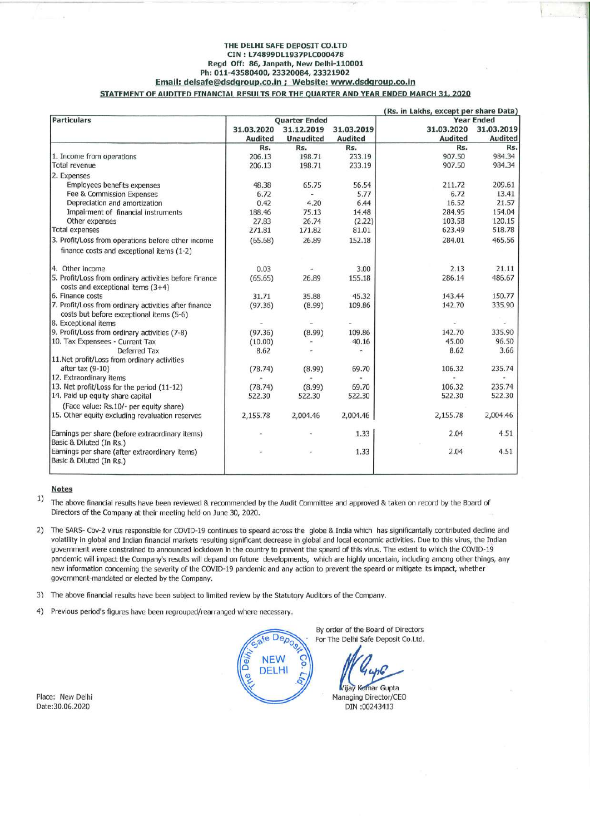#### THE DELHI SAFE DEPOSIT CO.LTD CIN: L74899DL1937PLC000478 Regd Off: 86, Janpath, New Delhi-110001 Ph: 011-43580400, 23320084, 23321902 Email: delsafe@dsdgroup.co.in ; Website: www.dsdgroup.co.in STATEMENT OF AUDITED FINANCIAL RESULTS FOR THE QUARTER AND YEAR ENDED MARCH 31, 2020

| <b>Particulars</b>                                                                                | <b>Quarter Ended</b> |                  |                | (Rs. in Lakhs, except per share Data)<br><b>Year Ended</b> |                |
|---------------------------------------------------------------------------------------------------|----------------------|------------------|----------------|------------------------------------------------------------|----------------|
|                                                                                                   | 31.03.2020           | 31.12.2019       | 31.03.2019     | 31.03.2020                                                 | 31.03.2019     |
|                                                                                                   | <b>Audited</b>       | <b>Unaudited</b> | <b>Audited</b> | <b>Audited</b>                                             | <b>Audited</b> |
|                                                                                                   | Rs.                  | Rs.              | Rs.            | Rs.                                                        | Rs.            |
| 1. Income from operations                                                                         | 206.13               | 198.71           | 233.19         | 907.50                                                     | 984.34         |
| Total revenue                                                                                     | 206.13               | 198.71           | 233.19         | 907.50                                                     | 984.34         |
| 2. Expenses                                                                                       |                      |                  |                |                                                            |                |
| <b>Employees benefits expenses</b>                                                                | 48.38                | 65.75            | 56.54          | 211.72                                                     | 209.61         |
| Fee & Commission Expenses                                                                         | 6.72                 |                  | 5.77           | 6.72                                                       | 13.41          |
| Depreciation and amortization                                                                     | 0.42                 | 4.20             | 6.44           | 16.52                                                      | 21.57          |
| Impairment of financial instruments                                                               | 188.46               | 75.13            | 14.48          | 284.95                                                     | 154.04         |
| Other expenses                                                                                    | 27.83                | 26.74            | (2.22)         | 103.58                                                     | 120.15         |
| <b>Total expenses</b>                                                                             | 271.81               | 171.82           | 81.01          | 623.49                                                     | 518.78         |
| 3. Profit/Loss from operations before other income                                                | (65.68)              | 26.89            | 152.18         | 284.01                                                     | 465.56         |
| finance costs and exceptional items (1-2)                                                         |                      |                  |                |                                                            |                |
| 4. Other income                                                                                   | 0.03                 |                  | 3.00           | 2.13                                                       | 21.11          |
| 5. Profit/Loss from ordinary activities before finance<br>costs and exceptional items (3+4)       | (65.65)              | 26.89            | 155.18         | 286.14                                                     | 486.67         |
| 6. Finance costs                                                                                  | 31.71                | 35.88            | 45.32          | 143.44                                                     | 150.77         |
| 7. Profit/Loss from ordinary activities after finance<br>costs but before exceptional items (5-6) | (97.36)              | (8.99)           | 109.86         | 142.70                                                     | 335.90         |
| 8. Exceptional items                                                                              |                      |                  |                |                                                            |                |
| 9. Profit/Loss from ordinary activities (7-8)                                                     | (97.36)              | (8.99)           | 109.86         | 142.70                                                     | 335.90         |
| 10. Tax Expensees - Current Tax                                                                   | (10.00)              |                  | 40.16          | 45.00                                                      | 96.50          |
| Deferred Tax                                                                                      | 8.62                 |                  |                | 8.62                                                       | 3.66           |
| 11.Net profit/Loss from ordinary activities                                                       |                      |                  |                |                                                            |                |
| after tax $(9-10)$                                                                                | (78.74)              | (8.99)           | 69.70          | 106.32                                                     | 235.74         |
| 12. Extraordinary items                                                                           |                      |                  |                |                                                            |                |
| 13. Net profit/Loss for the period (11-12)                                                        | (78.74)              | (8.99)           | 69.70          | 106.32                                                     | 235.74         |
| 14. Paid up equity share capital                                                                  | 522.30               | 522.30           | 522.30         | 522.30                                                     | 522.30         |
| (Face value: Rs.10/- per equity share)                                                            |                      |                  |                |                                                            |                |
| 15. Other equity excluding revaluation reserves                                                   | 2,155.78             | 2,004.46         | 2,004.46       | 2,155.78                                                   | 2,004.46       |
| Earnings per share (before extraordinary items)<br>Basic & Diluted (In Rs.)                       |                      |                  | 1.33           | 2.04                                                       | 4.51           |
| Earnings per share (after extraordinary items)<br>Basic & Diluted (In Rs.)                        |                      |                  | 1.33           | 2.04                                                       | 4.51           |

### **Notes**

 $1)$ The above financial results have been reviewed & recommended by the Audit Committee and approved & taken on record by the Board of Directors of the Company at their meeting held on June 30, 2020.

- 2) The SARS- Cov-2 virus responsible for COVID-19 continues to speard across the globe & India which has significantally contributed decline and volatility in global and Indian financial markets resulting significant decrease in global and local economic activities. Due to this virus, the Indian government were constrained to announced lockdown in the country to prevent the speard of this virus. The extent to which the COVID-19 pandemic will impact the Company's results will depand on future developments, which are highly uncertain, including among other things, any new information concerning the severity of the COVID-19 pandemic and any action to prevent the speard or mitigate its impact, whether government-mandated or elected by the Company.
- 3) The above financial results have been subject to limited review by the Statutory Auditors of the Company.
- Previous period's figures have been regrouped/rearranged where necessary.  $4)$

Place: New Delhi Date:30.06.2020

By order of the Board of Directors e Depos For The Delhi Safe Deposit Co.Ltd. **NEW DELHI Vijay** Kamar Gupta Managing Director/CEO DIN:00243413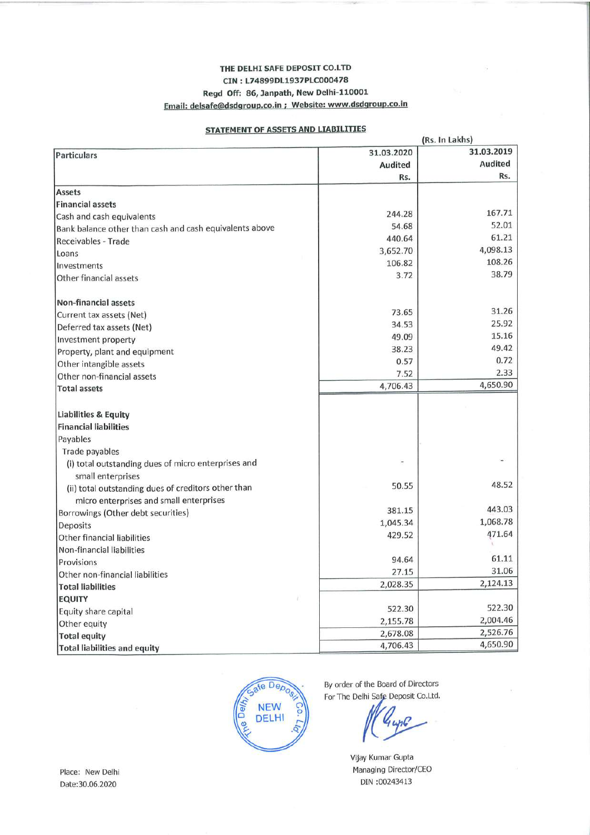### THE DELHI SAFE DEPOSIT CO.LTD CIN: L74899DL1937PLC000478 Regd Off: 86, Janpath, New Delhi-110001 Email: delsafe@dsdgroup.co.in ; Website: www.dsdgroup.co.in

### **STATEMENT OF ASSETS AND LIABILITIES**

|                                                         |            | (Rs. In Lakhs) |  |  |
|---------------------------------------------------------|------------|----------------|--|--|
| <b>Particulars</b>                                      | 31.03.2020 | 31.03.2019     |  |  |
|                                                         | Audited    | <b>Audited</b> |  |  |
|                                                         | Rs.        | Rs.            |  |  |
| <b>Assets</b>                                           |            |                |  |  |
| <b>Financial assets</b>                                 |            |                |  |  |
| Cash and cash equivalents                               | 244.28     | 167.71         |  |  |
| Bank balance other than cash and cash equivalents above | 54.68      | 52.01          |  |  |
| Receivables - Trade                                     | 440.64     | 61.21          |  |  |
| Loans                                                   | 3,652.70   | 4,098.13       |  |  |
| Investments                                             | 106.82     | 108.26         |  |  |
| Other financial assets                                  | 3.72       | 38.79          |  |  |
| <b>Non-financial assets</b>                             |            |                |  |  |
| Current tax assets (Net)                                | 73.65      | 31.26          |  |  |
| Deferred tax assets (Net)                               | 34.53      | 25.92          |  |  |
| Investment property                                     | 49.09      | 15.16          |  |  |
| Property, plant and equipment                           | 38.23      | 49.42          |  |  |
| Other intangible assets                                 | 0.57       | 0.72           |  |  |
| Other non-financial assets                              | 7.52       | 2.33           |  |  |
| <b>Total assets</b>                                     | 4,706.43   | 4,650.90       |  |  |
|                                                         |            |                |  |  |
| Liabilities & Equity                                    |            |                |  |  |
| <b>Financial liabilities</b>                            |            |                |  |  |
| Payables                                                |            |                |  |  |
| Trade payables                                          |            |                |  |  |
| (i) total outstanding dues of micro enterprises and     |            |                |  |  |
| small enterprises                                       |            |                |  |  |
| (ii) total outstanding dues of creditors other than     | 50.55      | 48.52          |  |  |
| micro enterprises and small enterprises                 |            |                |  |  |
| Borrowings (Other debt securities)                      | 381.15     | 443.03         |  |  |
| Deposits                                                | 1,045.34   | 1,068.78       |  |  |
| <b>Other financial liabilities</b>                      | 429.52     | 471.64         |  |  |
| Non-financial liabilities                               |            |                |  |  |
| Provisions                                              | 94.64      | 61.11          |  |  |
| Other non-financial liabilities                         | 27.15      | 31.06          |  |  |
| <b>Total liabilities</b>                                | 2,028.35   | 2,124.13       |  |  |
| <b>EQUITY</b>                                           |            |                |  |  |
| Equity share capital                                    | 522.30     | 522.30         |  |  |
| Other equity                                            | 2,155.78   | 2,004.46       |  |  |
| <b>Total equity</b>                                     | 2,678.08   | 2,526.76       |  |  |
| <b>Total liabilities and equity</b>                     | 4,706.43   | 4,650.90       |  |  |



By order of the Board of Directors For The Delhi Safe Deposit Co.Ltd.

Vijay Kumar Gupta Managing Director/CEO DIN:00243413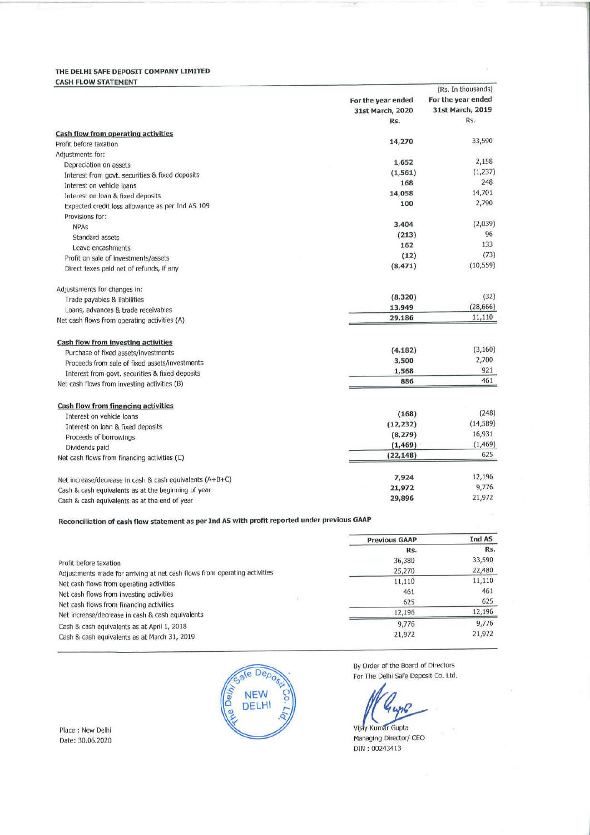### THE DELHI SAFE DEPOSIT COMPANY LIMITED **CASH FLOW STATEMENT**

| For the year ended<br>For the year ended<br>31st March, 2019<br>31st March, 2020<br>Rs.<br>Rs.<br>Cash flow from operating activities<br>33,590<br>14,270<br>Profit before taxation<br>Adjustments for:<br>2,158<br>1,652<br>Depreciation on assets<br>(1,237)<br>(1, 561)<br>Interest from govt. securities & fixed deposits<br>248<br>168<br>Interest on vehicle loans<br>14,701<br>14,058<br>Interest on loan & fixed deposits<br>2,790<br>100<br>Expected credit loss allowance as per Ind AS 109<br>Provisions for:<br>(2,039)<br>3,404<br><b>NPAs</b><br>96<br>(213)<br>Standard assets<br>133<br>162<br>Leave encashments<br>(73)<br>(12)<br>Profit on sale of investments/assets<br>(10, 559)<br>(8, 471)<br>Direct taxes paid net of refunds, if any<br>Adjustsments for changes in:<br>(32)<br>(8, 320)<br>Trade payables & liabilities<br>(28, 666)<br>13,949<br>Loans, advances & trade receivables<br>11,110<br>29,186<br>Net cash flows from operating activities (A)<br>Cash flow from investing activities<br>(3, 160)<br>(4, 182)<br>Purchase of fixed assets/investments<br>2,700<br>3,500<br>Proceeds from sale of fixed assets/investments<br>921<br>1,568<br>Interest from govt. securities & fixed deposits<br>461<br>886<br>Net cash flows from investing activities (B)<br>Cash flow from financing activities<br>(248)<br>(168)<br>Interest on vehicle loans<br>(14, 589)<br>(12, 232)<br>Interest on loan & fixed deposits<br>16,931<br>(8, 279)<br>Proceeds of borrowings<br>(1, 469)<br>(1, 469)<br>Dividends paid<br>625<br>(22, 148)<br>Net cash flows from financing activities (C)<br>12,196<br>7,924<br>Net increase/decrease in cash & cash equivalents (A+B+C)<br>9,776<br>21,972<br>Cash & cash equivalents as at the beginning of year<br>21,972<br>29,896<br>Cash & cash equivalents as at the end of year |  | (Rs. In thousands) |
|--------------------------------------------------------------------------------------------------------------------------------------------------------------------------------------------------------------------------------------------------------------------------------------------------------------------------------------------------------------------------------------------------------------------------------------------------------------------------------------------------------------------------------------------------------------------------------------------------------------------------------------------------------------------------------------------------------------------------------------------------------------------------------------------------------------------------------------------------------------------------------------------------------------------------------------------------------------------------------------------------------------------------------------------------------------------------------------------------------------------------------------------------------------------------------------------------------------------------------------------------------------------------------------------------------------------------------------------------------------------------------------------------------------------------------------------------------------------------------------------------------------------------------------------------------------------------------------------------------------------------------------------------------------------------------------------------------------------------------------------------------------------------------------------------------------------------------------------------|--|--------------------|
|                                                                                                                                                                                                                                                                                                                                                                                                                                                                                                                                                                                                                                                                                                                                                                                                                                                                                                                                                                                                                                                                                                                                                                                                                                                                                                                                                                                                                                                                                                                                                                                                                                                                                                                                                                                                                                                  |  |                    |
|                                                                                                                                                                                                                                                                                                                                                                                                                                                                                                                                                                                                                                                                                                                                                                                                                                                                                                                                                                                                                                                                                                                                                                                                                                                                                                                                                                                                                                                                                                                                                                                                                                                                                                                                                                                                                                                  |  |                    |
|                                                                                                                                                                                                                                                                                                                                                                                                                                                                                                                                                                                                                                                                                                                                                                                                                                                                                                                                                                                                                                                                                                                                                                                                                                                                                                                                                                                                                                                                                                                                                                                                                                                                                                                                                                                                                                                  |  |                    |
|                                                                                                                                                                                                                                                                                                                                                                                                                                                                                                                                                                                                                                                                                                                                                                                                                                                                                                                                                                                                                                                                                                                                                                                                                                                                                                                                                                                                                                                                                                                                                                                                                                                                                                                                                                                                                                                  |  |                    |
|                                                                                                                                                                                                                                                                                                                                                                                                                                                                                                                                                                                                                                                                                                                                                                                                                                                                                                                                                                                                                                                                                                                                                                                                                                                                                                                                                                                                                                                                                                                                                                                                                                                                                                                                                                                                                                                  |  |                    |
|                                                                                                                                                                                                                                                                                                                                                                                                                                                                                                                                                                                                                                                                                                                                                                                                                                                                                                                                                                                                                                                                                                                                                                                                                                                                                                                                                                                                                                                                                                                                                                                                                                                                                                                                                                                                                                                  |  |                    |
|                                                                                                                                                                                                                                                                                                                                                                                                                                                                                                                                                                                                                                                                                                                                                                                                                                                                                                                                                                                                                                                                                                                                                                                                                                                                                                                                                                                                                                                                                                                                                                                                                                                                                                                                                                                                                                                  |  |                    |
|                                                                                                                                                                                                                                                                                                                                                                                                                                                                                                                                                                                                                                                                                                                                                                                                                                                                                                                                                                                                                                                                                                                                                                                                                                                                                                                                                                                                                                                                                                                                                                                                                                                                                                                                                                                                                                                  |  |                    |
|                                                                                                                                                                                                                                                                                                                                                                                                                                                                                                                                                                                                                                                                                                                                                                                                                                                                                                                                                                                                                                                                                                                                                                                                                                                                                                                                                                                                                                                                                                                                                                                                                                                                                                                                                                                                                                                  |  |                    |
|                                                                                                                                                                                                                                                                                                                                                                                                                                                                                                                                                                                                                                                                                                                                                                                                                                                                                                                                                                                                                                                                                                                                                                                                                                                                                                                                                                                                                                                                                                                                                                                                                                                                                                                                                                                                                                                  |  |                    |
|                                                                                                                                                                                                                                                                                                                                                                                                                                                                                                                                                                                                                                                                                                                                                                                                                                                                                                                                                                                                                                                                                                                                                                                                                                                                                                                                                                                                                                                                                                                                                                                                                                                                                                                                                                                                                                                  |  |                    |
|                                                                                                                                                                                                                                                                                                                                                                                                                                                                                                                                                                                                                                                                                                                                                                                                                                                                                                                                                                                                                                                                                                                                                                                                                                                                                                                                                                                                                                                                                                                                                                                                                                                                                                                                                                                                                                                  |  |                    |
|                                                                                                                                                                                                                                                                                                                                                                                                                                                                                                                                                                                                                                                                                                                                                                                                                                                                                                                                                                                                                                                                                                                                                                                                                                                                                                                                                                                                                                                                                                                                                                                                                                                                                                                                                                                                                                                  |  |                    |
|                                                                                                                                                                                                                                                                                                                                                                                                                                                                                                                                                                                                                                                                                                                                                                                                                                                                                                                                                                                                                                                                                                                                                                                                                                                                                                                                                                                                                                                                                                                                                                                                                                                                                                                                                                                                                                                  |  |                    |
|                                                                                                                                                                                                                                                                                                                                                                                                                                                                                                                                                                                                                                                                                                                                                                                                                                                                                                                                                                                                                                                                                                                                                                                                                                                                                                                                                                                                                                                                                                                                                                                                                                                                                                                                                                                                                                                  |  |                    |
|                                                                                                                                                                                                                                                                                                                                                                                                                                                                                                                                                                                                                                                                                                                                                                                                                                                                                                                                                                                                                                                                                                                                                                                                                                                                                                                                                                                                                                                                                                                                                                                                                                                                                                                                                                                                                                                  |  |                    |
|                                                                                                                                                                                                                                                                                                                                                                                                                                                                                                                                                                                                                                                                                                                                                                                                                                                                                                                                                                                                                                                                                                                                                                                                                                                                                                                                                                                                                                                                                                                                                                                                                                                                                                                                                                                                                                                  |  |                    |
|                                                                                                                                                                                                                                                                                                                                                                                                                                                                                                                                                                                                                                                                                                                                                                                                                                                                                                                                                                                                                                                                                                                                                                                                                                                                                                                                                                                                                                                                                                                                                                                                                                                                                                                                                                                                                                                  |  |                    |
|                                                                                                                                                                                                                                                                                                                                                                                                                                                                                                                                                                                                                                                                                                                                                                                                                                                                                                                                                                                                                                                                                                                                                                                                                                                                                                                                                                                                                                                                                                                                                                                                                                                                                                                                                                                                                                                  |  |                    |
|                                                                                                                                                                                                                                                                                                                                                                                                                                                                                                                                                                                                                                                                                                                                                                                                                                                                                                                                                                                                                                                                                                                                                                                                                                                                                                                                                                                                                                                                                                                                                                                                                                                                                                                                                                                                                                                  |  |                    |
|                                                                                                                                                                                                                                                                                                                                                                                                                                                                                                                                                                                                                                                                                                                                                                                                                                                                                                                                                                                                                                                                                                                                                                                                                                                                                                                                                                                                                                                                                                                                                                                                                                                                                                                                                                                                                                                  |  |                    |
|                                                                                                                                                                                                                                                                                                                                                                                                                                                                                                                                                                                                                                                                                                                                                                                                                                                                                                                                                                                                                                                                                                                                                                                                                                                                                                                                                                                                                                                                                                                                                                                                                                                                                                                                                                                                                                                  |  |                    |
|                                                                                                                                                                                                                                                                                                                                                                                                                                                                                                                                                                                                                                                                                                                                                                                                                                                                                                                                                                                                                                                                                                                                                                                                                                                                                                                                                                                                                                                                                                                                                                                                                                                                                                                                                                                                                                                  |  |                    |
|                                                                                                                                                                                                                                                                                                                                                                                                                                                                                                                                                                                                                                                                                                                                                                                                                                                                                                                                                                                                                                                                                                                                                                                                                                                                                                                                                                                                                                                                                                                                                                                                                                                                                                                                                                                                                                                  |  |                    |
|                                                                                                                                                                                                                                                                                                                                                                                                                                                                                                                                                                                                                                                                                                                                                                                                                                                                                                                                                                                                                                                                                                                                                                                                                                                                                                                                                                                                                                                                                                                                                                                                                                                                                                                                                                                                                                                  |  |                    |
|                                                                                                                                                                                                                                                                                                                                                                                                                                                                                                                                                                                                                                                                                                                                                                                                                                                                                                                                                                                                                                                                                                                                                                                                                                                                                                                                                                                                                                                                                                                                                                                                                                                                                                                                                                                                                                                  |  |                    |
|                                                                                                                                                                                                                                                                                                                                                                                                                                                                                                                                                                                                                                                                                                                                                                                                                                                                                                                                                                                                                                                                                                                                                                                                                                                                                                                                                                                                                                                                                                                                                                                                                                                                                                                                                                                                                                                  |  |                    |
|                                                                                                                                                                                                                                                                                                                                                                                                                                                                                                                                                                                                                                                                                                                                                                                                                                                                                                                                                                                                                                                                                                                                                                                                                                                                                                                                                                                                                                                                                                                                                                                                                                                                                                                                                                                                                                                  |  |                    |
|                                                                                                                                                                                                                                                                                                                                                                                                                                                                                                                                                                                                                                                                                                                                                                                                                                                                                                                                                                                                                                                                                                                                                                                                                                                                                                                                                                                                                                                                                                                                                                                                                                                                                                                                                                                                                                                  |  |                    |
|                                                                                                                                                                                                                                                                                                                                                                                                                                                                                                                                                                                                                                                                                                                                                                                                                                                                                                                                                                                                                                                                                                                                                                                                                                                                                                                                                                                                                                                                                                                                                                                                                                                                                                                                                                                                                                                  |  |                    |
|                                                                                                                                                                                                                                                                                                                                                                                                                                                                                                                                                                                                                                                                                                                                                                                                                                                                                                                                                                                                                                                                                                                                                                                                                                                                                                                                                                                                                                                                                                                                                                                                                                                                                                                                                                                                                                                  |  |                    |
|                                                                                                                                                                                                                                                                                                                                                                                                                                                                                                                                                                                                                                                                                                                                                                                                                                                                                                                                                                                                                                                                                                                                                                                                                                                                                                                                                                                                                                                                                                                                                                                                                                                                                                                                                                                                                                                  |  |                    |
|                                                                                                                                                                                                                                                                                                                                                                                                                                                                                                                                                                                                                                                                                                                                                                                                                                                                                                                                                                                                                                                                                                                                                                                                                                                                                                                                                                                                                                                                                                                                                                                                                                                                                                                                                                                                                                                  |  |                    |
|                                                                                                                                                                                                                                                                                                                                                                                                                                                                                                                                                                                                                                                                                                                                                                                                                                                                                                                                                                                                                                                                                                                                                                                                                                                                                                                                                                                                                                                                                                                                                                                                                                                                                                                                                                                                                                                  |  |                    |
|                                                                                                                                                                                                                                                                                                                                                                                                                                                                                                                                                                                                                                                                                                                                                                                                                                                                                                                                                                                                                                                                                                                                                                                                                                                                                                                                                                                                                                                                                                                                                                                                                                                                                                                                                                                                                                                  |  |                    |

### Reconciliation of cash flow statement as per Ind AS with profit reported under previous GAAP

|                                                                           | <b>Previous GAAP</b> | Ind AS |
|---------------------------------------------------------------------------|----------------------|--------|
|                                                                           | Rs.                  | Rs.    |
| Profit before taxation                                                    | 36,380               | 33,590 |
| Adjustments made for arriving at net cash flows from operating activities | 25,270               | 22,480 |
| Net cash flows from operating activities                                  | 11,110               | 11,110 |
| Net cash flows from investing activities                                  | 461                  | 461    |
| Net cash flows from financing activities                                  | 625                  | 625    |
| Net increase/decrease in cash & cash equivalents                          | 12,196               | 12,196 |
| Cash & cash equivalents as at April 1, 2018                               | 9,776                | 9,776  |
| Cash & cash equivalents as at March 31, 2019                              | 21,972               | 21,972 |



By Order of the Board of Directors For The Delhi Safe Deposit Co. Ltd.

Vijay Kumar Gupta Managing Director/ CEO DIN: 00243413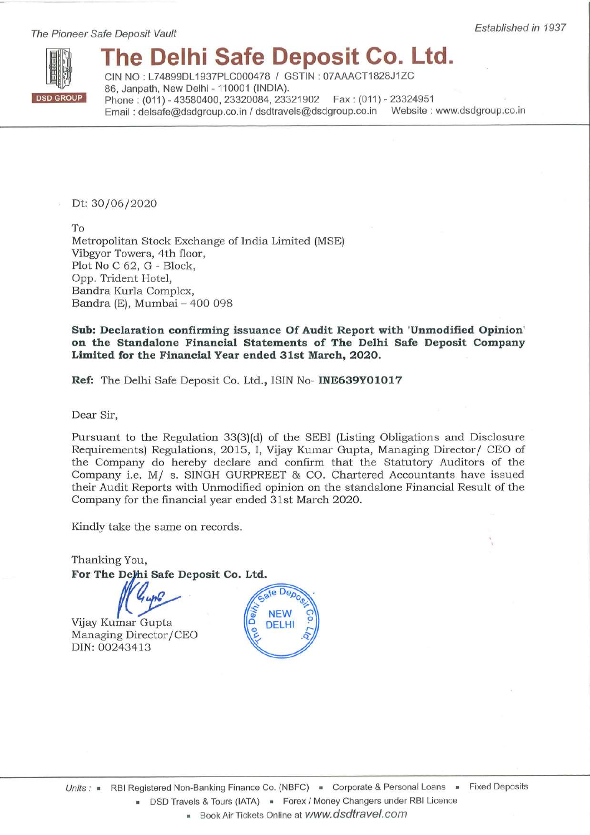The Pioneer Safe Deposit Vault



# The Delhi Safe Deposit Co. Ltd.

CIN NO: L74899DL1937PLC000478 / GSTIN: 07AAACT1828J1ZC 86. Janpath, New Delhi - 110001 (INDIA). Phone: (011) - 43580400, 23320084, 23321902 Fax: (011) - 23324951 Email: delsafe@dsdgroup.co.in / dsdtravels@dsdgroup.co.in Website: www.dsdgroup.co.in

Dt: 30/06/2020

To Metropolitan Stock Exchange of India Limited (MSE) Vibgyor Towers, 4th floor, Plot No C 62, G - Block, Opp. Trident Hotel, Bandra Kurla Complex, Bandra (E), Mumbai - 400 098

Sub: Declaration confirming issuance Of Audit Report with 'Unmodified Opinion' on the Standalone Financial Statements of The Delhi Safe Deposit Company Limited for the Financial Year ended 31st March, 2020.

Ref: The Delhi Safe Deposit Co. Ltd., ISIN No- INE639Y01017

Dear Sir,

Pursuant to the Regulation 33(3)(d) of the SEBI (Listing Obligations and Disclosure Requirements) Regulations, 2015, I, Vijay Kumar Gupta, Managing Director/ CEO of the Company do hereby declare and confirm that the Statutory Auditors of the Company i.e. M/ s. SINGH GURPREET & CO. Chartered Accountants have issued their Audit Reports with Unmodified opinion on the standalone Financial Result of the Company for the financial year ended 31st March 2020.

Kindly take the same on records.

Thanking You, For The Delhi Safe Deposit Co. Ltd.

Vijay Kumar Gupta Managing Director/CEO DIN: 00243413

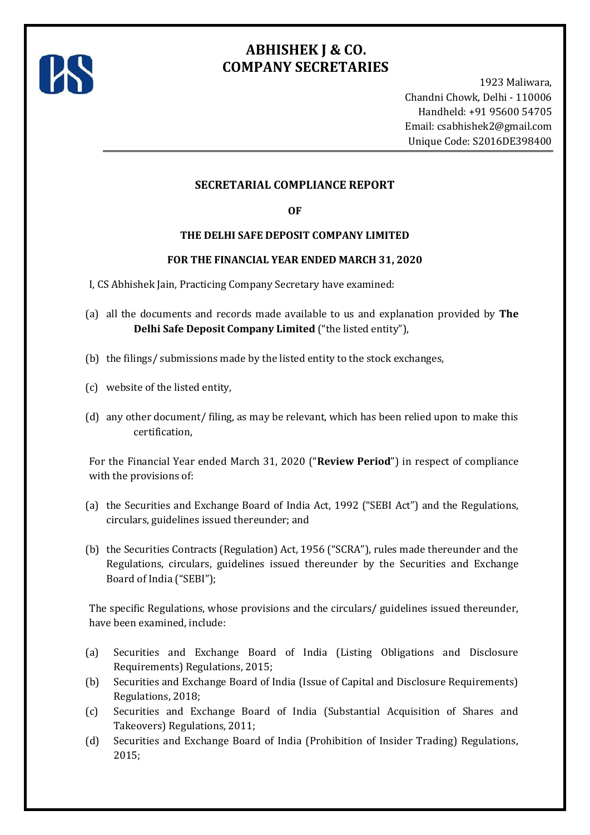

## **ABHISHEK J & CO. COMPANY SECRETARIES**

1923 Maliwara, Chandni Chowk, Delhi - 110006 Handheld: +91 95600 54705 Email: [csabhishek2@gmail.com](mailto:csabhishek2@gmail.com) Unique Code: S2016DE398400

### **SECRETARIAL COMPLIANCE REPORT**

### **OF**

### **THE DELHI SAFE DEPOSIT COMPANY LIMITED**

### **FOR THE FINANCIAL YEAR ENDED MARCH 31, 2020**

- I, CS Abhishek Jain, Practicing Company Secretary have examined:
- (a) all the documents and records made available to us and explanation provided by **The Delhi Safe Deposit Company Limited** ("the listed entity"),
- (b) the filings/ submissions made by the listed entity to the stock exchanges,
- (c) website of the listed entity,
- (d) any other document/ filing, as may be relevant, which has been relied upon to make this certification,

For the Financial Year ended March 31, 2020 ("**Review Period**") in respect of compliance with the provisions of:

- (a) the Securities and Exchange Board of India Act, 1992 ("SEBI Act") and the Regulations, circulars, guidelines issued thereunder; and
- (b) the Securities Contracts (Regulation) Act, 1956 ("SCRA"), rules made thereunder and the Regulations, circulars, guidelines issued thereunder by the Securities and Exchange Board of India ("SEBI");

The specific Regulations, whose provisions and the circulars/ guidelines issued thereunder, have been examined, include:

- (a) Securities and Exchange Board of India (Listing Obligations and Disclosure Requirements) Regulations, 2015;
- (b) Securities and Exchange Board of India (Issue of Capital and Disclosure Requirements) Regulations, 2018;
- (c) Securities and Exchange Board of India (Substantial Acquisition of Shares and Takeovers) Regulations, 2011;
- (d) Securities and Exchange Board of India (Prohibition of Insider Trading) Regulations, 2015;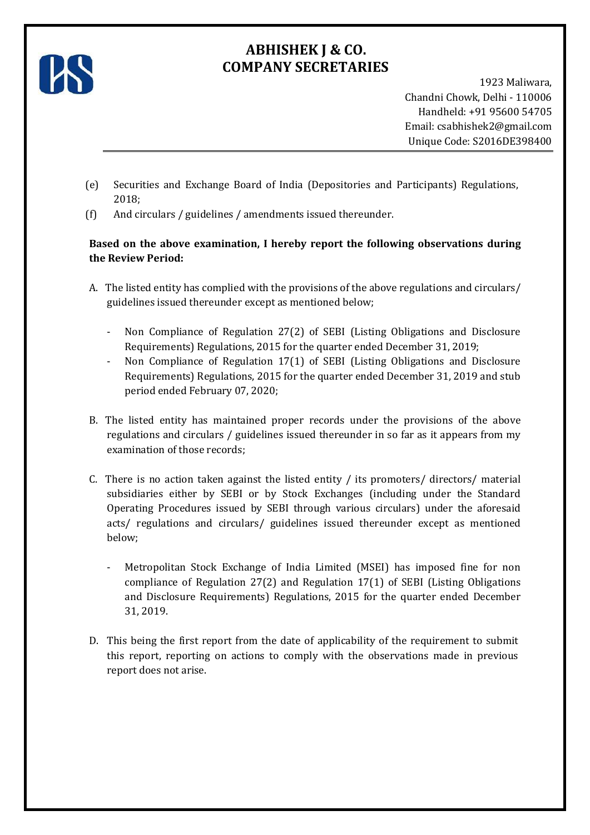

# **ABHISHEK J & CO. COMPANY SECRETARIES**

1923 Maliwara, Chandni Chowk, Delhi - 110006 Handheld: +91 95600 54705 Email: [csabhishek2@gmail.com](mailto:csabhishek2@gmail.com) Unique Code: S2016DE398400

- (e) Securities and Exchange Board of India (Depositories and Participants) Regulations, 2018;
- (f) And circulars / guidelines / amendments issued thereunder.

### **Based on the above examination, I hereby report the following observations during the Review Period:**

- A. The listed entity has complied with the provisions of the above regulations and circulars/ guidelines issued thereunder except as mentioned below;
	- Non Compliance of Regulation 27(2) of SEBI (Listing Obligations and Disclosure Requirements) Regulations, 2015 for the quarter ended December 31, 2019;
	- Non Compliance of Regulation 17(1) of SEBI (Listing Obligations and Disclosure Requirements) Regulations, 2015 for the quarter ended December 31, 2019 and stub period ended February 07, 2020;
- B. The listed entity has maintained proper records under the provisions of the above regulations and circulars / guidelines issued thereunder in so far as it appears from my examination of those records;
- C. There is no action taken against the listed entity / its promoters/ directors/ material subsidiaries either by SEBI or by Stock Exchanges (including under the Standard Operating Procedures issued by SEBI through various circulars) under the aforesaid acts/ regulations and circulars/ guidelines issued thereunder except as mentioned below;
	- Metropolitan Stock Exchange of India Limited (MSEI) has imposed fine for non compliance of Regulation 27(2) and Regulation 17(1) of SEBI (Listing Obligations and Disclosure Requirements) Regulations, 2015 for the quarter ended December 31, 2019.
- D. This being the first report from the date of applicability of the requirement to submit this report, reporting on actions to comply with the observations made in previous report does not arise.